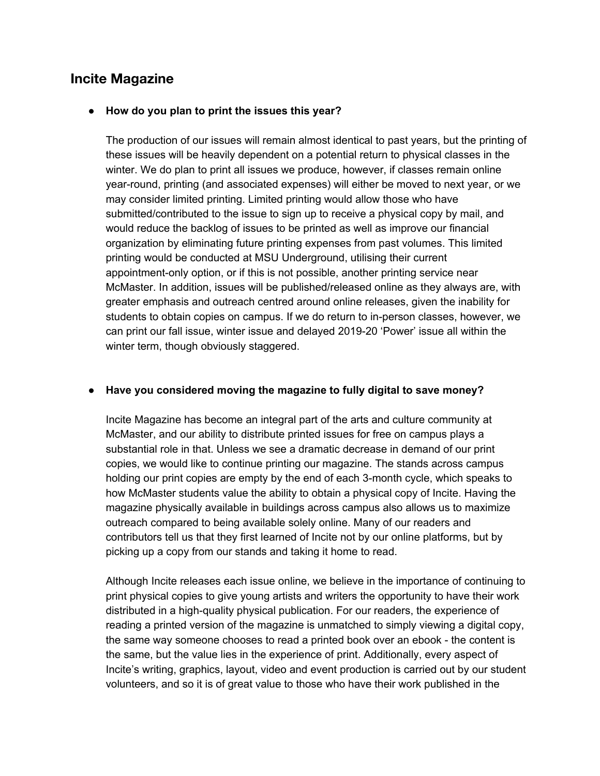# **Incite Magazine**

#### **● How do you plan to print the issues this year?**

The production of our issues will remain almost identical to past years, but the printing of these issues will be heavily dependent on a potential return to physical classes in the winter. We do plan to print all issues we produce, however, if classes remain online year-round, printing (and associated expenses) will either be moved to next year, or we may consider limited printing. Limited printing would allow those who have submitted/contributed to the issue to sign up to receive a physical copy by mail, and would reduce the backlog of issues to be printed as well as improve our financial organization by eliminating future printing expenses from past volumes. This limited printing would be conducted at MSU Underground, utilising their current appointment-only option, or if this is not possible, another printing service near McMaster. In addition, issues will be published/released online as they always are, with greater emphasis and outreach centred around online releases, given the inability for students to obtain copies on campus. If we do return to in-person classes, however, we can print our fall issue, winter issue and delayed 2019-20 'Power' issue all within the winter term, though obviously staggered.

#### **● Have you considered moving the magazine to fully digital to save money?**

Incite Magazine has become an integral part of the arts and culture community at McMaster, and our ability to distribute printed issues for free on campus plays a substantial role in that. Unless we see a dramatic decrease in demand of our print copies, we would like to continue printing our magazine. The stands across campus holding our print copies are empty by the end of each 3-month cycle, which speaks to how McMaster students value the ability to obtain a physical copy of Incite. Having the magazine physically available in buildings across campus also allows us to maximize outreach compared to being available solely online. Many of our readers and contributors tell us that they first learned of Incite not by our online platforms, but by picking up a copy from our stands and taking it home to read.

Although Incite releases each issue online, we believe in the importance of continuing to print physical copies to give young artists and writers the opportunity to have their work distributed in a high-quality physical publication. For our readers, the experience of reading a printed version of the magazine is unmatched to simply viewing a digital copy, the same way someone chooses to read a printed book over an ebook - the content is the same, but the value lies in the experience of print. Additionally, every aspect of Incite's writing, graphics, layout, video and event production is carried out by our student volunteers, and so it is of great value to those who have their work published in the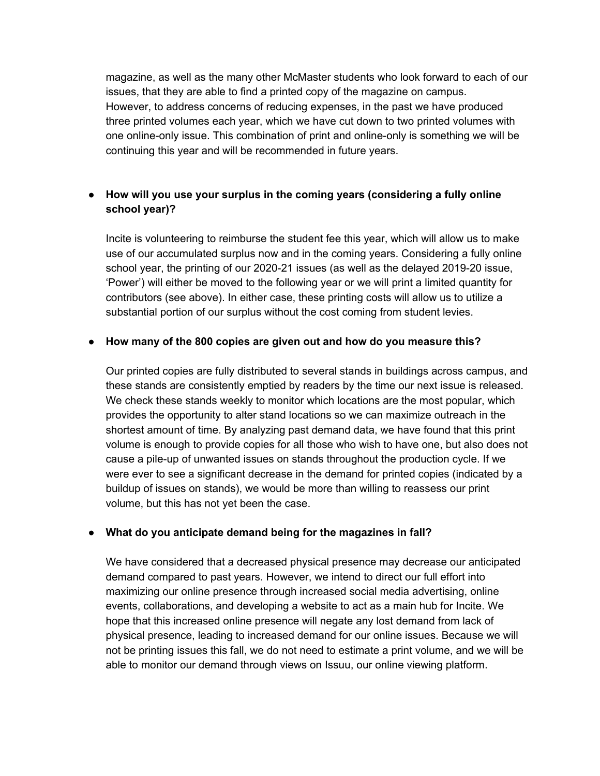magazine, as well as the many other McMaster students who look forward to each of our issues, that they are able to find a printed copy of the magazine on campus. However, to address concerns of reducing expenses, in the past we have produced three printed volumes each year, which we have cut down to two printed volumes with one online-only issue. This combination of print and online-only is something we will be continuing this year and will be recommended in future years.

# **● How will you use your surplus in the coming years (considering a fully online school year)?**

Incite is volunteering to reimburse the student fee this year, which will allow us to make use of our accumulated surplus now and in the coming years. Considering a fully online school year, the printing of our 2020-21 issues (as well as the delayed 2019-20 issue, 'Power') will either be moved to the following year or we will print a limited quantity for contributors (see above). In either case, these printing costs will allow us to utilize a substantial portion of our surplus without the cost coming from student levies.

#### **● How many of the 800 copies are given out and how do you measure this?**

Our printed copies are fully distributed to several stands in buildings across campus, and these stands are consistently emptied by readers by the time our next issue is released. We check these stands weekly to monitor which locations are the most popular, which provides the opportunity to alter stand locations so we can maximize outreach in the shortest amount of time. By analyzing past demand data, we have found that this print volume is enough to provide copies for all those who wish to have one, but also does not cause a pile-up of unwanted issues on stands throughout the production cycle. If we were ever to see a significant decrease in the demand for printed copies (indicated by a buildup of issues on stands), we would be more than willing to reassess our print volume, but this has not yet been the case.

#### **● What do you anticipate demand being for the magazines in fall?**

We have considered that a decreased physical presence may decrease our anticipated demand compared to past years. However, we intend to direct our full effort into maximizing our online presence through increased social media advertising, online events, collaborations, and developing a website to act as a main hub for Incite. We hope that this increased online presence will negate any lost demand from lack of physical presence, leading to increased demand for our online issues. Because we will not be printing issues this fall, we do not need to estimate a print volume, and we will be able to monitor our demand through views on Issuu, our online viewing platform.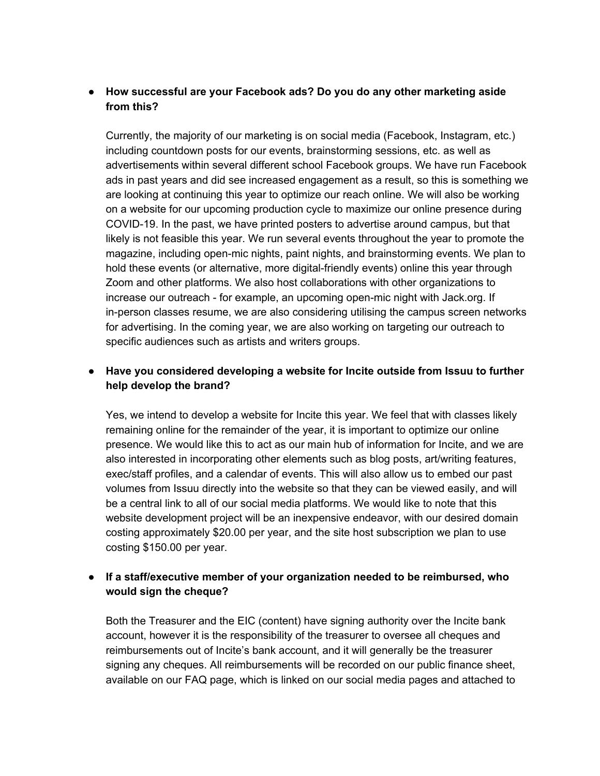# **● How successful are your Facebook ads? Do you do any other marketing aside from this?**

Currently, the majority of our marketing is on social media (Facebook, Instagram, etc.) including countdown posts for our events, brainstorming sessions, etc. as well as advertisements within several different school Facebook groups. We have run Facebook ads in past years and did see increased engagement as a result, so this is something we are looking at continuing this year to optimize our reach online. We will also be working on a website for our upcoming production cycle to maximize our online presence during COVID-19. In the past, we have printed posters to advertise around campus, but that likely is not feasible this year. We run several events throughout the year to promote the magazine, including open-mic nights, paint nights, and brainstorming events. We plan to hold these events (or alternative, more digital-friendly events) online this year through Zoom and other platforms. We also host collaborations with other organizations to increase our outreach - for example, an upcoming open-mic night with Jack.org. If in-person classes resume, we are also considering utilising the campus screen networks for advertising. In the coming year, we are also working on targeting our outreach to specific audiences such as artists and writers groups.

# **● Have you considered developing a website for Incite outside from Issuu to further help develop the brand?**

Yes, we intend to develop a website for Incite this year. We feel that with classes likely remaining online for the remainder of the year, it is important to optimize our online presence. We would like this to act as our main hub of information for Incite, and we are also interested in incorporating other elements such as blog posts, art/writing features, exec/staff profiles, and a calendar of events. This will also allow us to embed our past volumes from Issuu directly into the website so that they can be viewed easily, and will be a central link to all of our social media platforms. We would like to note that this website development project will be an inexpensive endeavor, with our desired domain costing approximately \$20.00 per year, and the site host subscription we plan to use costing \$150.00 per year.

# **● If a staff/executive member of your organization needed to be reimbursed, who would sign the cheque?**

Both the Treasurer and the EIC (content) have signing authority over the Incite bank account, however it is the responsibility of the treasurer to oversee all cheques and reimbursements out of Incite's bank account, and it will generally be the treasurer signing any cheques. All reimbursements will be recorded on our public finance sheet, available on our FAQ page, which is linked on our social media pages and attached to